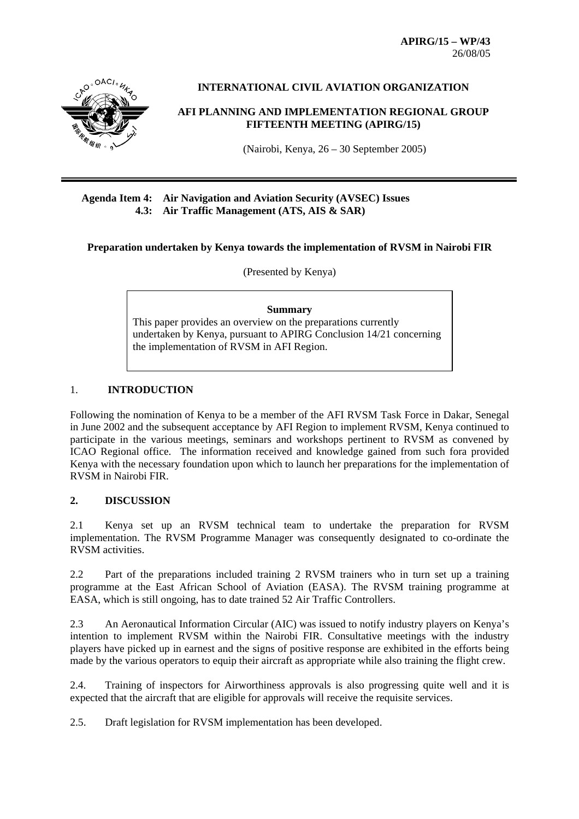**APIRG/15 – WP/43**  26/08/05



**INTERNATIONAL CIVIL AVIATION ORGANIZATION** 

#### **AFI PLANNING AND IMPLEMENTATION REGIONAL GROUP FIFTEENTH MEETING (APIRG/15)**

(Nairobi, Kenya, 26 – 30 September 2005)

### **Agenda Item 4: Air Navigation and Aviation Security (AVSEC) Issues 4.3: Air Traffic Management (ATS, AIS & SAR)**

**Preparation undertaken by Kenya towards the implementation of RVSM in Nairobi FIR** 

(Presented by Kenya)

#### **Summary**

This paper provides an overview on the preparations currently undertaken by Kenya, pursuant to APIRG Conclusion 14/21 concerning the implementation of RVSM in AFI Region.

# 1. **INTRODUCTION**

Following the nomination of Kenya to be a member of the AFI RVSM Task Force in Dakar, Senegal in June 2002 and the subsequent acceptance by AFI Region to implement RVSM, Kenya continued to participate in the various meetings, seminars and workshops pertinent to RVSM as convened by ICAO Regional office. The information received and knowledge gained from such fora provided Kenya with the necessary foundation upon which to launch her preparations for the implementation of RVSM in Nairobi FIR.

#### **2. DISCUSSION**

2.1 Kenya set up an RVSM technical team to undertake the preparation for RVSM implementation. The RVSM Programme Manager was consequently designated to co-ordinate the RVSM activities.

2.2 Part of the preparations included training 2 RVSM trainers who in turn set up a training programme at the East African School of Aviation (EASA). The RVSM training programme at EASA, which is still ongoing, has to date trained 52 Air Traffic Controllers.

2.3 An Aeronautical Information Circular (AIC) was issued to notify industry players on Kenya's intention to implement RVSM within the Nairobi FIR. Consultative meetings with the industry players have picked up in earnest and the signs of positive response are exhibited in the efforts being made by the various operators to equip their aircraft as appropriate while also training the flight crew.

2.4. Training of inspectors for Airworthiness approvals is also progressing quite well and it is expected that the aircraft that are eligible for approvals will receive the requisite services.

2.5. Draft legislation for RVSM implementation has been developed.